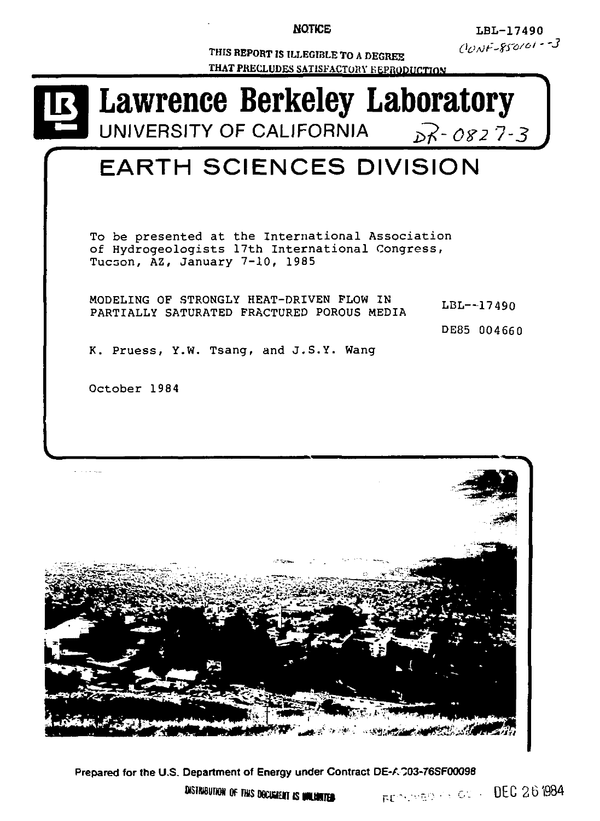**NOTICE** 

**LBL-1749 0**  *Oortf'ZW''' ~ 3* 

**THIS REPORT IS ILLEGIBLE TO A DEGREE THAT PRECLUDES SATISFACTORY E EPRODUCTION** 





**Prepared for the U.S. Department of Energy under Contract DE-A "03-76SF00098** 

**asmeunoNOFTWSOSCUSIOTISMNUNI» ^-- .** *•••-••* **--• • c . • DE C 26 1 r-c**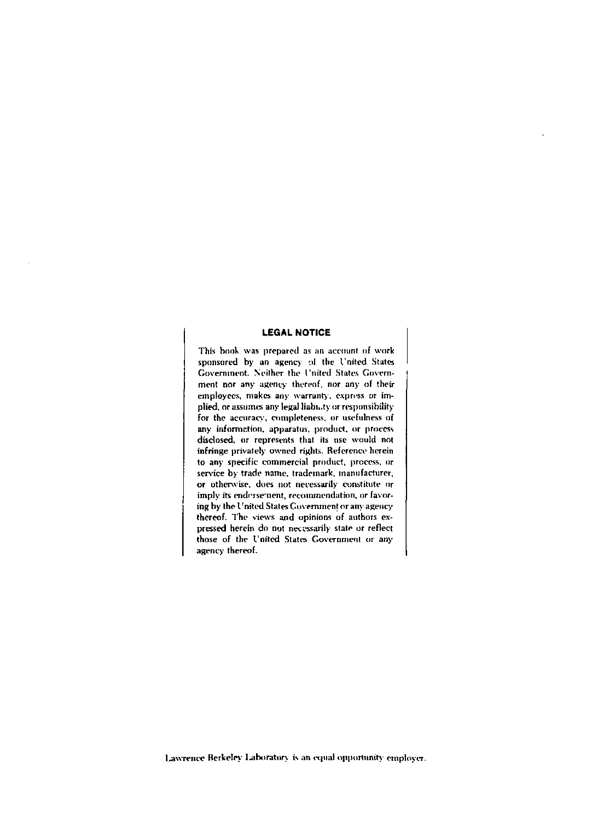# **LEGAL NOTICE**

This book was prepared as an account of work sponsored by an agency of the United States Government. Neither the I'nited States Government nor any agency thereof, nor any of their employees, makes any warranty, express or implied, or assumes any legal liabh.ty or responsibility for the accuracy, completeness, or usefulness of any information, apparatus, product, or process disclosed, or represents that its use would not infringe privately owned rights. Reference herein to any specific commercial product, process, or service by trade name, trademark, manufacturer, or otherwise, does not necessarily constitute or imply its endorsement, recommendation, or favoring by the I'nited States Government or any agency thereof. The views and opinions of authors expressed herein do not necessarily state or reflect those of the I'nited States Government or any agency thereof.

Lawrence Berkeley Laboratory is an equal opportunity employer.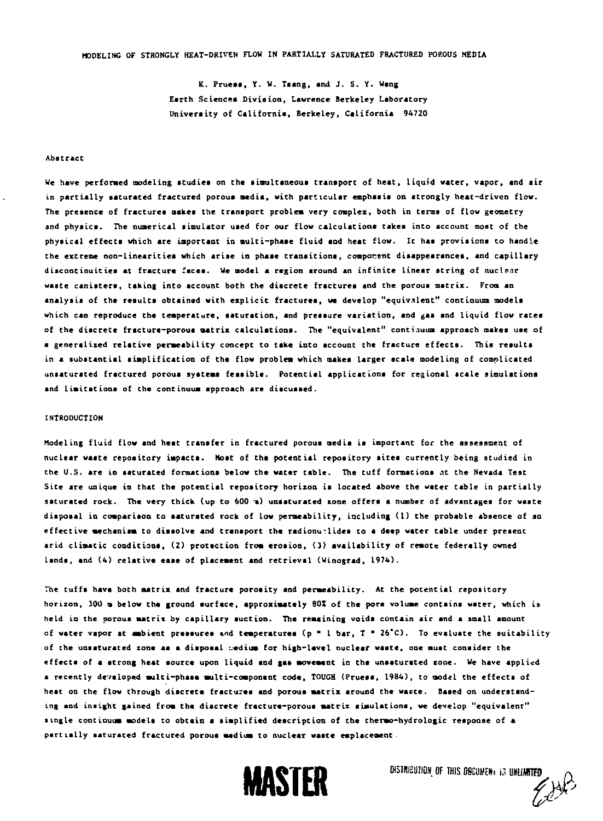**K. Prueaa , Y. V. Taang, and J . 5 . Y. Wang Earth Sciences Division, Lawrence Berkeley Laboratory University of California, Berkeley, California 94720** 

#### **Abstract**

**We have performed modeling atudiea on the aitaultaneoua transport of heat, liqufd water, vapor, and air**  in partially saturated fractured porous media, with particular emphasis on atrongly heat-driven flow. **The preaence of fractures makes the transport problem very complex, both in terns of flow geometry**  and physics. The numerical simulator used for our flow calculations takes into account most of the **physical effecta which are important in multi-phase fluid and heat flow. It haa proviaiona to handle the extreme non-linearitie s which arise in phase tranaitiona, component disappearances, and capillary discontinuitiea at fracture facea. We model a region around an infinit e linear string of nuclear waste canisters, taking into account both the discrete fractures and the poroua matrix. From an analysis of the results obtained with explicit fracturea, we develop "equivalent" continuum models which can reproduce the temperature, saturation, and pressure variation, and gas and liquid flow rates of the discrete fracture-porous matrix calculations. The "equivalent" continuum approach makes use of a generalired relative permeability concept to take into account the fracture effects. This results in a subatantial simplification of the flow problem which makes larger acale modeling of complicated unsaturated fractured poroua systems feasible . Potential applications for regional scale simulations and limitations of the continuum approach are discussed.** 

## **INTRODUCTION**

**Modeling fluid flow and heat transfer in fractured porous media ia important for the assessment of**  nuclear waste repository impacts. Most of the potential repository sites currently being studied in **the U.S. are in saturated formations below the water table. The tuff formations at the Nevada Test Site are unique in that the potential repository horizon ia located above the water table in partially**  saturated rock. The very thick (up to 600 a) unsaturated zone offers a number of advantages for waste **disposal in comparison to saturated rock of Low permeability, including (1) the probable absence of an effective mechanism to dissolve and transport the radionuclides to a deep water table under present**  arid climatic conditions, (2) protection from erosion, (3) availability of remote federally owned **Lands, and (4) relative ease of placement and retrieval (Winograd, 1974).** 

**The tuffs have both matrix and fracture porosity and permeability. At the potential repository horizon, 30U m below the ground surface, approximately 9OX of the pore volume contains water, which is held in the porous matrix by capillary suction. The remaining voids contain air and a small amount of water vapor at ambient pressures tad temperatures (p • 1 bar, T " 26"C). To evaluate the suitabilit y**  of the unsaturated zone as a disposal nedium for high-level nuclear waste, one must consider the **effects of a strong heat source upon liquid and gas movement in the unsaturated zone. We have applied a recently developed multi-phase multi-component code, TOUCH {Pruess, 1984), to model the effects of heat on the flow through discrete fracturea and porous matrix around the waste. Baaed on understanding and insight gained from the discrete fracture-poroua matrix simulations, we develop "equivalent" •ingle continuum models to obtain a simplified description of the thermo-hydrologic response of a partially saturated fractured porous medium to nuclear waste emplacement.** 



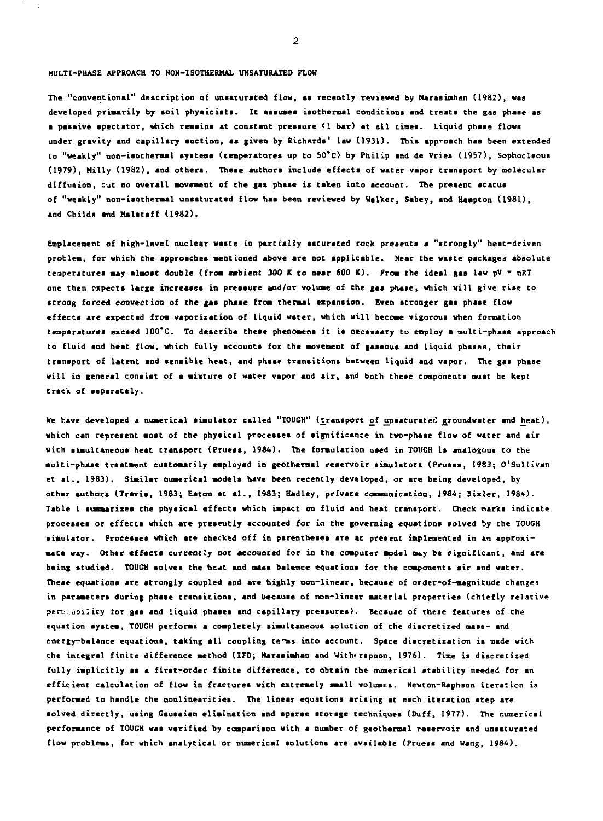## **MULTI-PHASE APPROACH TO NON-ISOTHERMAL UNSATURATED FLOW**

**The "conventional" description of unsaturated flow, as recently reviewed by Narasimhan (1982), was developed primarily by aoil physiciats. It assuses isothermal conditions and treata the gas phase as a paaaive spectator, which remains at conatant preaaure** *(\* **bar) at all tines. Liquid phase flows under gravity and capillary auction, aa given by Richards' law (1931). This approach haa been extended to "weakly" noa-iaothermal systems (temperatures up to 50\*C) by Philip and de Vries (1957), Sophocleous (1979), Hilly (1982), and others. These authors include effecta of water vapor transport by molecular diffusion, Dut no overall movement of the gas phase is taken into account. The present atatua of "weakly" non-iaothermal unsaturated flow haa been reviewed by Walker, Sabey, and Hampton (1981),**  and Childs and Malataff (1982).

**Emplacement of high-level nuclear waste in partially saturated rock preaenta a "strongly" heat-driven**  problem, for which the approaches mentioned above are not applicable. Near the waste packages absolute **temperatures may almost double (from ambient 300 K to near 600 K). From the ideal gas law pV \* nRT one then expects large increases in pressure and/or volume of the gas phase, which will give ris e to strong forced convection of the** *\$a»* **phase from thermal expansion. Even stronger gas phase flow effects are expected from vaporisation of liquid water, which will become vigorous when formation teaperaturea exceed 100'C. To describe these phenomena it is necessary to employ a multi-phaae approach to fluid and heat flow, which fully accounts for the movement of gaseous and liquid phases, their transport of latent and sensible heat, and phase transitions between liquid and vapor. The gas phase will in general consist of a mixture of water vapor and air , and both these components must be kept trsck of separately.** 

We have developed a numerical simulator called "TOUGH" (transport of unsaturated groundwater and heat), **which can represent moat of the physical processes of significance in two-phase flow of water and air with simultaneous heat transport (Pruess, 1984). The formulation used in TOUGH is snalogous to the multi-phase treatment customarily employed in geothermal reservoir simulators (Pruess, 1983; O'Sullivan et al. <sup>t</sup> 1983). Similar numerical models have been recently developed, or are being developed, by other authora (Travis, 1983; Eaton et al. , 1983; Hadley, private communication, 1984; Bixler, 1984). Table 1 summarizes the physical effects which impact on fluid and heat transport. Check narks indicate processes or effects which are preseutly accounted for in the governing equations solved by the TOUGH simulator. Processes which are checked off in parentheses are at present implemented in an approximate way. Other effects currently not accounted for in the computer model may be significant, and are being studied. TOUGH aolvea the heat and mass balance equations for the components air and water. These equations are strongly coupled and are highly non-linear, because of order-of-magnitude changes in parameters during phase transitions, and because of non-linear material properties (chiefly relative pen jabilit y for gas and liquid phases snd capillary pressures). Because of these features of the equation system, TOUGH performs s completely simultaneoua solution of the discretized mass- and energy-balance equations, taking all coupling te-ms into account. Space discretization is made with**  the integral finite difference method (IFD; Narasimhan and With rspoon, 1976). Time is discretized fully implicitly as a first-order finite difference, to obtain the numerical stability needed for an **efficient calculation of flow in fractures with extremely small volumes. Newton-Raphson iteration is performed Co handle the nonlinearities. The linear equation\* arising at each iteration step are**  solved directly, using Gaussian elimination and sparse storage techniques (Duff, 1977). The numerical **performance of TOUGH was verified by comparison with a number of geothermal reservoir and unsaturated flow problems, for which analytical or numerical solutions are available (Pruess and Wang, 1984).**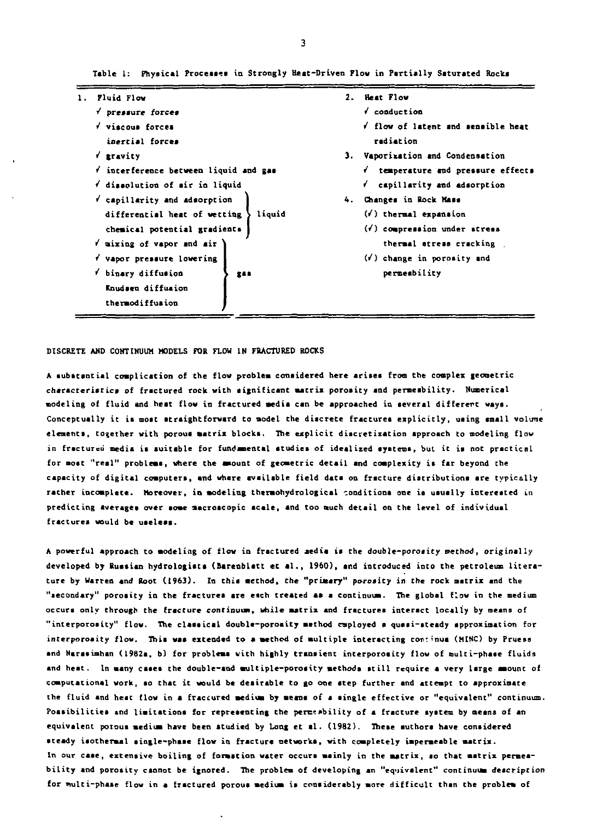| Fluid Flow                          |        | 2. Heat Flow                     |
|-------------------------------------|--------|----------------------------------|
| pressure forces                     |        | √ conduction                     |
| V viscous forces                    |        | flow of latent and sensible heat |
| inerrial forces                     |        | radiation                        |
| v gravity                           |        | 3. Vaporization and Condensation |
| interference between liquid and gas |        | temperature and pressure effects |
| disselution of mir in liquid        |        | f capillarity and adsorption     |
| capillarity and adsorption          |        | 4. Changes in Rock Mass          |
| differential heat of wetting        | liquid | (v) thermal expansion            |
| chemical potential gradients        |        | (*) compression under stress     |
| f mixing of vapor and air           |        | thermal atress cracking          |
| f vapor pressure lowering           |        | $($ i) change in porosity and    |
| * binary diffusion                  | 244    | permembility                     |
| Knudsen diffusion                   |        |                                  |
| thermodiffusion                     |        |                                  |

**Table I: Physical Proceases in Strongly Heat-Driven Flow in Partially Saturated Rocks** 

### **DISCRETE AND CONTINUUM MODELS FOR FLOW IN FRACTURED ROCKS**

**A substsntial complication of the flow problem considered here arises from the complex geometric characteristic s of fractured rock with aignificant matrix porosity and permeability. Numerical modeling of fluid and heat flow in fractured media can be approached in several different ways. Conceptually it is most straightforward to model the diacrete fractures explicitly , using small volume elements, together with porous matrix blocks. The explicit discretization approach to modeling flow in fractured media is suitable for fundamental studies of idealized systems, but it is not practical for most "real" problems, where the amount of geometric detail and complexity is far beyond Che**  capacity of digital computers, and where available field data on fracture distributions are typically **rather incomplete. Moreover, in modeling thermohydrologicel conditions one ia usually interested in predicting averages over some macroscopic scale , and too much detail on the level of individual fractures would be uaeless.** 

**A powerful approach to modeling of flow in fractured aedia** *it* **the double-porosity method, originally developed by Russian hydrologista (Barenblatt et al. , 1960), and introduced into the petroleum litera ture by Warren and Root (1963). In this method, Che "primary" porosity in the rock matrix and the "secondary" porosity in the fractures are etch treated as a continuum. The global flow in the medium occurs only through the fracture continuum, while matrix and fractures interact locally by means of "interporosity" flow. The classica l double-porosity method employed a quasi-steady approximation for interporoaity flow. This waa extended to a method of multiple interacting continue (MINC) by Pruesa and Narasimhan (1982a, b) for problems with highly transient interporoaity flow of multi-phase fluids and heat. In many cases the double-and multiple-porosity methods stil l require a very large amount of computational work, ao that it would be desirable to go one step further and attempt to approximate the fluid and heat flow in a fractured medium by means of a aingle effective or "equivalent" continuum. Possibilitie s \*nd limitations for repreaenting the permeability of a fracture system by means of an equivalent porous medium have been studied by Long et al. (1982). These authors have considered steady isothermal single-phase flow in fracture networks, with completely impermeable matrix. In our case, extensive boiling of formation water occurs mainly in the matrix, ao that matrix permeabilit y and porosity cannot be ignored. The problem of developing an "equivalent" continuum description for emlti-phase flow in a fractured porous medium is considerably more difficult than the problem of**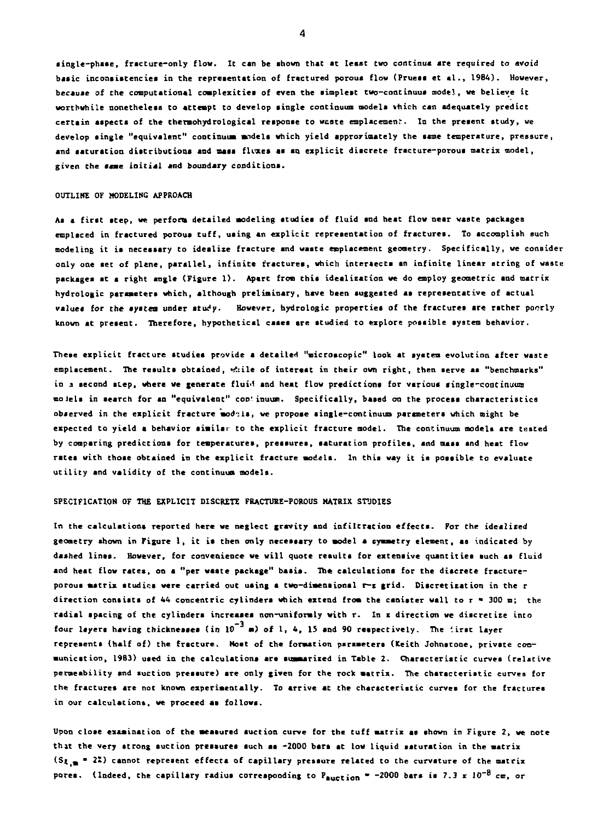**single-phase, fracture-only flow. It can be shown that at least two continua are required to avoid basic inconsistencies in the representation of fractured porous flow (Pruess et si. , 1984). However, because of the computational complexities of even the simplest twc-continuua model, we believe it worthwhile nonetheless to attempt to develop single continuum models thich can adequately predict certain aspects of the thermohydrological response to wcate emplacement. In the present study, we develop single "equivalent" continuum models which yield approximately the same temperature, pressure, and saturation distributions and mass fluxes as an explicit discrete fracture-porous matrix model,**  given the same initial and boundary conditions.

## **OUTLIKE OF MODELING APPROACH**

**As « first step, we perfons detailed modeling studies of fluid and heat flow near waste packages emplaced in fractured porous tuff, using an explicit representation of fractures. To accomplish such modeling it is necessary to idealize fracture and waste emplacement geometry. Specifically, we consider only one set of plene, parallel, infinit e fractures, which intersects an infinit e linear string of waste packages at a right angle (Figure 1). Apart from this idealization we do employ geometric and matrix hydrologic parameters which, although preliminary, have been suggested as representative of actual**  values for the eystem under study. However, hydrologic properties of the fractures are rather poorly **known at present. Therefore, hypothetical cases are studied to explore possible system behavior.** 

**These explicit fracture studies provide a detailed "microscopic" look at system evolution after waste emplacement. The results obtained, <^:ile of interest in their own right, then serve** *A»* **"benchmarks"**  in a second step, where we generate fluid and heat flow predictions for various single-continuum **moiels in search for an "equivalent" con'inuum. Specifically, based on the process characteristics observed in the explicit fracture models, we propose single-continuum parameters which might be expected to yield a behavior similar to the explicit fracture model. The continuum models are tested by comparing predictions for temperatures, pressures, saturation profiles, and mass snd heat flow rates with those obtained in the explicit fracture models. In this way it is possible to evaluate utilit y and validity of the continuum models.** 

#### **SPECIFICATION OF THE EXPLICIT DISCRETE FRACTURE-POROUS MATRIX STUDIES**

In the calculations reported here we neglect gravity and infiltration effects. For the idealized **geometry shown in Figure 1, it is then only necessary to model a symmetry element, as indicated by dashed lines. However, for convenience we will quote results for extensive quant itiea such as fluid and heat flow rates, on a "per waste package" baaia. The calculations for the diacrete fractureporous matrix studies were carried out using a two-dimensional r-r grid. Discretisation in the r direction consists of 44 concentric cylinders which extend from the canister wall to r • 300 m; the radial spacing of the cylinders increases non-uniformly with r. In z direction we discretiz e into four layers having thicknesses (in 10 • ) of 1, 4, 15 and 90 respectively. The '.irst layer represents (half of) the fracture. Most of the formation parameters (Keith Johnstone, private communication, 19B3) used in the calculations are summarized in Table 2. Characteristic curves (relative permeability and suction pressure) are only given for the rock matrix. The characteristic curves for the fractures are not known experimentally. To arrive at the characteristic curves for the frsctures in our calculations, we proceed as follows.** 

**Upon close examination of the measured suction curve for the tuff matrix as shown in Figure 2, we note that the very strong suction pressures such as -2000 bars at low liquid saturation in the matrix**   $(s_{L,m} = 22)$  cannot represent effects of capillary pressure related to the curvature of the matrix **pores. (Indeed, the capillary radius corresponding to Paction \* -2000 bars is 7.3 x 10~<sup>8</sup> cm, or**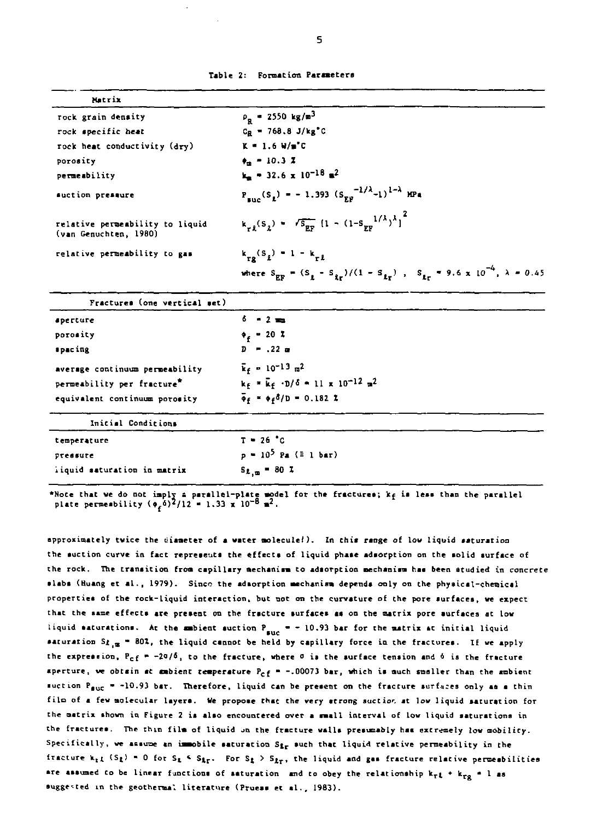|  | Table 2: Formation Parameters |  |
|--|-------------------------------|--|
|--|-------------------------------|--|

| Matrix                                                   |                                                                                                                                      |  |
|----------------------------------------------------------|--------------------------------------------------------------------------------------------------------------------------------------|--|
| rock grain density                                       | $\rho_{\rm g}$ = 2550 kg/m <sup>3</sup>                                                                                              |  |
| rock specific heat                                       | $C_B = 768.8 \text{ J/kg}^{\circ}C$                                                                                                  |  |
| rock heat conductivity (dry)                             | $K = 1.6 W/m^2C$                                                                                                                     |  |
| porosity                                                 | $\bullet$ = 10.3 %                                                                                                                   |  |
| permeability                                             | $k_m = 32.6 \times 10^{-18}$ m <sup>2</sup>                                                                                          |  |
| suction pressure                                         | $P_{\text{mnc}}(S_1) = -1.393 (S_{\text{RF}}^{-1/\lambda} - 1)^{1-\lambda} \text{ MPa}$                                              |  |
| relative permeability to liquid<br>(van Genuchten, 1980) | $k_{r\lambda}(s_{\lambda}) = \sqrt{s_{\text{EF}}} (1 - (1 - s_{\text{py}}^{1/\lambda})^{\lambda})^{2}$                               |  |
| relative permeability to gas                             | $k_{rs}(s_1) = 1 - k_{rt}$                                                                                                           |  |
|                                                          | where $S_{\text{EF}} = (S_{\text{g}} - S_{\text{tr}})/(1 - S_{\text{tr}})$ , $S_{\text{tr}} = 9.6 \times 10^{-4}$ , $\lambda = 0.45$ |  |
| Fractures (one vertical set)                             |                                                                                                                                      |  |
| aperture                                                 | $6 - 2 =$                                                                                                                            |  |
| porosity                                                 | $\phi_c = 20.2$                                                                                                                      |  |
| spacing                                                  | $D = .22$                                                                                                                            |  |
| average continuum permeability                           | $k_f = 10^{-13}$ m <sup>2</sup>                                                                                                      |  |
| permeability per fracture"                               | $k_F = \overline{k}_F$ -D/6 = 11 x 10 <sup>-12</sup> m <sup>2</sup>                                                                  |  |
| equivalent continuum porosity                            | $\bar{\phi}_f = \phi_f \delta/D = 0.182$ Z                                                                                           |  |
| Initial Conditions                                       |                                                                                                                                      |  |
| temperature                                              | $T = 26 °C$                                                                                                                          |  |
| pressure                                                 | $p = 10^5$ Pa (= 1 bar)                                                                                                              |  |
| iiquid saturation in matrix                              | $S_{L,m} = 80.7$                                                                                                                     |  |

\*Note that we do not imply a parallel-plate model for the fractures; k<sub>f</sub> is less than the parallel<br>plate permeability  $(\phi_f \delta)^2/12 = 1.33 \times 10^{-8} \text{ m}^2$ .

**approximately twice the tiiameter of a water molecule!). In this range of low liquid saturation the suction curve in fact represents the effects of liquid phase adsorption on the solid surface of the rock. The transition from capillary mechanism to adsorption mechanism has been studied in concrete slabs (Huang et al. , 1979). Since the adsorption mechanism depends only on the physical-chemical properties of the rock-liquid interaction, but not on the curvature of the pore aurfaces, we expect that the same effects are present on the fracture surfaces as on the matrix pore aurfaces at low**  liquid saturations. At the ambient suction  $P_{succ} = -10.93$  bar for the matrix at initial liquid **saturation** *\$1<sup>19</sup> <sup>m</sup>* **80X, the liquid cannot be held by capillary force in the fractures. If we apply**  the expression,  $P_{cf} = -20/5$ , to the fracture, where  $\sigma$  is the surface tension and  $\delta$  is the fracture **aperture, ve obtain at ambient temperature P<sup>c</sup> f • -.00073 bar, which ia much smaller than the ambient**  suction P<sub>auc</sub> = -10.93 bar. Therefore, liquid can be present on the fracture surfaces only as a thin file of a few molecular layers. We propose that the very atrong suction at low liquid saturation for **the matrix shown in Figure 2 is also encountered over a small interval of low liquid saturations in**  the fractures. The thin film of liquid on the fracture walls presumably has extremely low mobility. Specifically, we assume an immobile saturation S<sub>ir</sub> such that liquid relative permeability in the fracture  $k_{r,L}$  (S<sub>*t*</sub>) = 0 for S<sub>t</sub>  $\leq$  S<sub>*t*r</sub>. For S<sub>t</sub>  $>$  S<sub>*t*r</sub>, the liquid and gas fracture relative permeabilities are assumed to be linear functions of saturation and to obey the relationship  $k_{rf}$   $\star$   $k_{ro}$  = 1 as suggested in the geothermal literature (Pruess et al., 1983).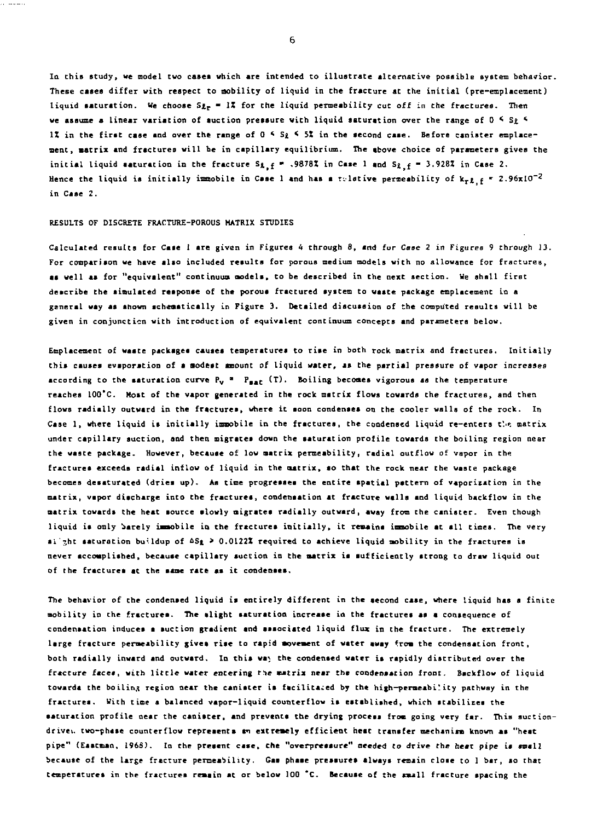**In this study, we model two cases which are intended to illustrate alternative possible system behavior. These cases differ with respect to mobility of liquid in the fracture at the initial (pre-emplacement)**  liquid saturation. We choose S<sub>2r</sub> = 1% for the liquid permeability cut off in the fractures. Then we assume a linear variation of suction pressure with liquid saturation over the range of 0<sup>*4*</sup> S<sub>2</sub><sup>*4*</sup> **1Z in the first case and over the range of 0 \* S£ < 5X in the second caae. Before canister emplacement, matrix and fractures will be in capillary equilibrium. The above choice of parameters gives the**  initial liquid saturation in the fracture  $S_{4,f}$  \* .9878X in Case 1 and  $S_{4,f}$  = 3.928X in Case 2. Hence the liquid is initially immobile in Case 1 and has a relative permeability of  $k_{rL}$   $\epsilon$  \* 2.96x10<sup>-2</sup> **in Case 2.** 

### **RESULTS OF DISCRETE FRACTURE-POROUS MATRIX STUDIES**

**Calculated results for Case 1 are given in Figures 4 through 8, and for** *Caae 2* **in Figures 9 through** *13.*  **For comparison we have also included results for porous medium models with no allowance for fractures,**  as well as for "equivalent" continuum models, to be described in the next section. We shall first **describe the simulated response of the porous frsctured system to waste package emplacement in a general way as shown schematically in Figure 3. Detailed discussion of the computed results will be given in conjunction with introduction of equivalent continuum concepts and parameters below.** 

**Emplacement of waate packages causes temperatures to rise in both rock matrix and fractures. Initially this causes evaporation of a modest amount of liquid water, as the partial pressure of vapor increases**  according to the saturation curve  $P_v$  **\***  $P_{\text{max}}$  (T). Boiling becomes vigorous as the temperature **reaches lOO'C. Host of the vapor generated in the rock matrix flows towards the fractures, and then flows radially outward in the fractures, where it soon condenses on the cooler walls of the rock. In**  Case 1, where liquid is initially immobile in the fractures, the condensed liquid re-enters the matrix **under capillary suction, and then migrates down the saturation profile towards the boiling region near the waste package. However, because of low matrix permeability, radial outflow of vapor in the fractures exceeds radial inflow of liquid in the matrix, so that the rock near the waate package becomes desaturated (dries up). As time progresses the entire spatial pattern of vaporisation in the matrix, vapor discharge into the fractures, condensation at fracture walla and liquid backflow in the matrix towards the heat aource slowly migrates radially outward, away from the canister. Even though**  liquid is only barely immobile in the fractures initially, it remains immobile at all times. The very **sl'7,ht saturation buildup of &Si > 0.0122Z required to achieve liquid mobility in the fractures is never accomplished, becauae capillary auction in the matrix is sufficiently strong to draw liquid out of the fractures at the same rate as it condenses.** 

**The behavior of the condensed liquid is entirely different in the second case, where liquid has a finite mobility in the fractures. The slight saturation increase in the fractures as a consequence of condensation induces s suction gradient and associated liquid flux in the fracture. The extremely**  large fracture permeability gives rise to rapid movement of water away from the condensation front, **both radially inward and outward. In this wa; the condensed water is rspidly distributed over the fracture faces, with little water entering** *t^e* **matrix near the condensation front. Backflow of liquid towards the boiling region near the canister is facilitated by the high-permeabi'ity pathway in the fractures. With time a balanced vapor-liquid counterflow ia established, which stabilizes the saturation profile near the canister, and prevents the drying process from going very far. This auction**drive. two-phase counterflow represents an extremely efficient heat transfer mechanism known as "heat pipe" (Eastman, 1968). In the present case, the "overpressure" needed to drive the heat pipe is small **because of the large fracture permeability. Gas phase pressures always remain close to 1 bar, so that temperatures in the fractures remain at or below 100 \*C. Becauae of the small fracture spacing the**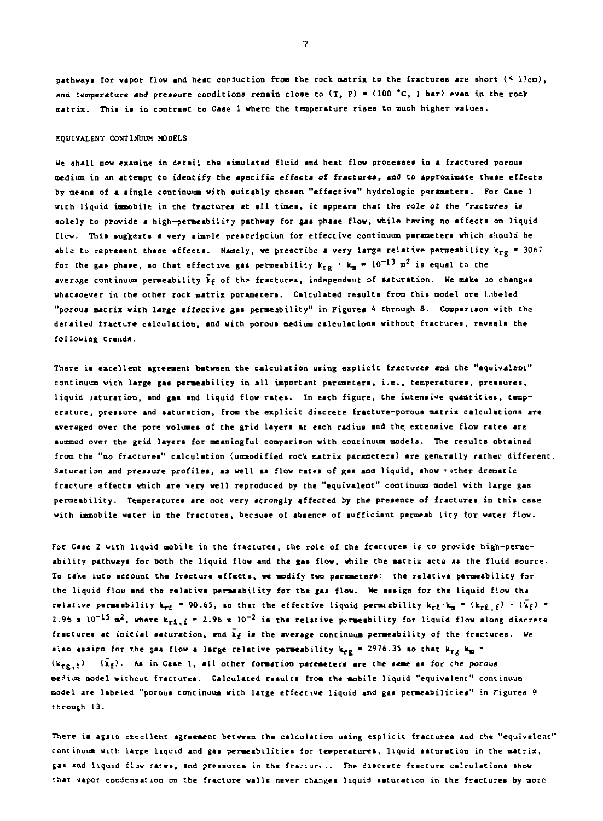**pathways fo r vapo r flow and hea t conductio n from th e rock matri x t o th e fracture s ar e shor t (< Ilea) , and temperatur e and pressur e condition s remain clos e t o (T , P) • (10 0 \*C, 1 bar ) eve n i n th e rock matrix . This is in contrast t o Case 1 where th e temperatur e rise s t o much highe r values .** 

## **EQUIVALENT CONTINUUM MODELS**

**We shal l now examine i n detai l th e simulate d flui d and hea t flow processe s i n a fracture d porous medium i n an attempt Co identif y th e specifi c effect s o f fractures , and t o approximat e thes e effect s by means of a singl e continuum wit h suitabl y chose n "effective " hydrologi c parameters. For Case 1**  with liquid immobile in the fractures at all times, it appears that the role of the "ractures is **solel y t o provid e a high-permeabilit y pathway for gas phas e flow , whil e having no effect s on liqui d flow . This suggests a ver y simpl e prescriptio n for effectiv e continuum parameter s which shoul d be abl e t o represen t thes e effects . Namely, we prescrib e a ver y larg e relativ e permeabilit y k <sup>r</sup> <sup>g</sup> • 3067**  for the gas phase, so that effective gas permeability  $k_{\text{TS}}$   $\cdot$   $k_{\text{m}}$  = 10  $^{2.5}$  m<sup>2</sup> is equal to the average continuum permeability  $\bar{k}_f$  of the fractures, independent of saturation. We make ao changes **whatsoeve r in th e othe r rock matri x parameters. Calculate d result s from thi s model ar e labele d "porous matri x wit h larg e affectiv e ga s permeability " i n Figure s 4 through 8 . Comparison wit h th e detaile d fractur e calculation , and wit h porous medium calculation s withou t fractures , reveals th e followin g trends.** 

**Ther e is excellen t agreement betwee n th e calculatio n usin g explici t fracture s and Che "equivalent " continuum wit h larg e ga s permeabilit y in al l important parameters, i.e. , temperatures, pressures, liqui d jaturation , and gas and liqui d flow rates . In each figure , th e intensiv e quantities , temperature , pressur e and saturation , from th e explici t discret e fracture-porou s matri x calculation s ar e averaged ove r the por e volume s of th e gri d layer s at each radiu s and th e extensiv e flow rate s ar e summed ove r th e gri d layer s fo r meaningful comparison wit h continuum models. The result s obtsine d from th e "no fractures " calculatio n {unmodified rock matri x parameters) ar e generall y rathe v different . Saturatio n and pressur e profiles , a s wel l a s flow rate s of ga s and liquid , show 'othe r dramati c fractur e effect s uhic h ar e ver y wel l reproduced by the "equivalent " continuum model wit h larg e ga s permeability . Temperature s ar e not ver y strongl y affecte d by th e presenc e of fracture s in thi s cas e wit h immobile wate r in th e fractures, becaus e of absenc e of sufficien t permeab lit y fo r wate r flow .** 

**For Case 2 wit h liqui d mobil e in th e fractures , th e rol e of th e fracture s i\* t o provid e high-perme abilit y pathways fo r both the liqui d flow and th e gas flow , whil e th e matri x act a i s th e flui d source . To tak e int o account th e fractur e effects , we modify two parameters: the relativ e permeabilit y fo r**  ithe liquid flow and the relative permeability for the gas flow. We assign for the liquid flow the relative permeability  $k_{r2} = 90.65$ , so that the effective liquid permacbility  $k_{r2} \cdot k_m = (k_{r2} \cdot \epsilon) \cdot (\bar{k}_f) =$ 2.96 x  $10^{-15}$  m<sup>2</sup>, where k<sub>rt</sub>  $\epsilon$  = 2.96 x  $10^{-2}$  is the relative permeability for liquid flow along discrete **fracture s at initia l saturation , and kf is th e averag e continuum permeabilit y of th e fractures. We also assign for the gas flow a large relative permeability**  $k_{\text{FE}} = 2976.35$  **so that**  $k_{\text{TE}}$  $k_{\text{B}} =$  $(k_{rx}, f)$   $(k_f)$ . As in Case 1, all other formation parameters are the same as for the porous **medium model withou t fractures. Calculate d result s from th e mobil e liqui d "equivalent " continuum model are labele d "porous continuum wit h larg e effectiv e liqui d and gas permeabilities " in Tigure s 9 through 13 .** 

**There is agai n excellen t agreement between th e calculatio n usin g explici t fracture s and th e "equivalent " continuum wit h larg e liqui d and ga s permeabilitie s for temperatures, liqui d saturatio n in th e matrix , g a s and liqui d flow ratet , and pressure s in th e traciur\*. . The discret e fractur e calculation s show**  *r* **hat vapor condensation on the fracture walls never changes liquid saturation in the fractures by more**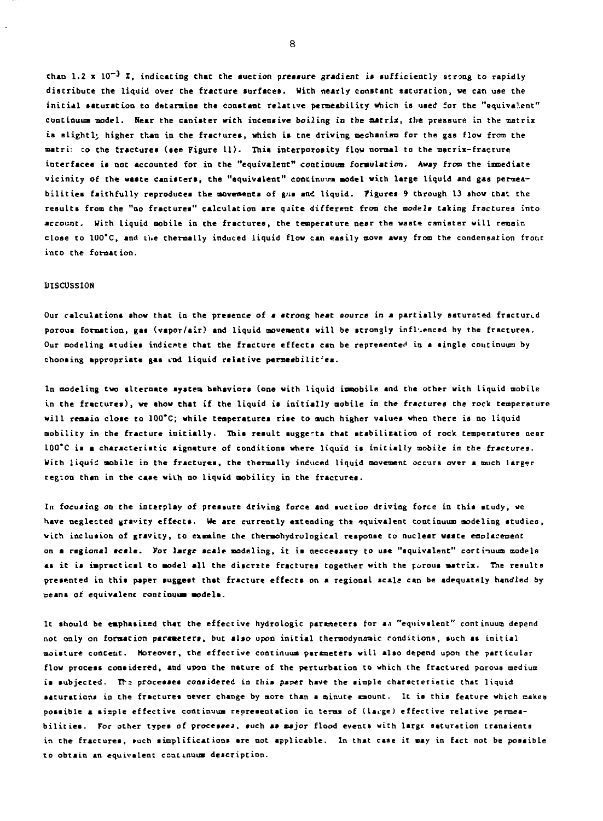**than 1.2 x 10~3 X, indicating Chat the auction pressure gradient is sufficiently strong to rapidly discribute the liquid over the fracture surfaces. With nearly constant saturation, we can use the initia l saturation to determine the constant relative permeability which is used for the "equivalent"**  continuum model. Near the canister with incensive boiling in the matrix, the pressure in the matrix **is slightly higher than in the fractures, which is tne driving mechanism for the gas flow from the matri:** *zo* **the fractures (see Figure 11). This interporosity flow normal to the matrix-fracture**  interfaces is not accounted for in the "equivalent" continuum formulation. Away from the immediate **vicinit y of the waste canisters, the "equivalent" continuum model with large liquid and gaa permeabilitie s faithfully reproduces the movements of gns and liquid, figures 9 through 13 show that the results from the "no fractures" calculation are quite different from the models taking fractures into account, Wich liquid mobile in the fractures, Che temperature near the waste canister will remain**  close to 100<sup>°</sup>C, and Lie thermally induced liquid flow can easily move away from the condensation front **into the formation.** 

# **DISCUSSION**

**Our calculations show that in the presence of a strong heat source in a partially saturated fractured porous formation, gas (vapor/air) and liquid movements will be strongly influenced by the fractures. Our modeling studies indicate Chat Che fracture effects can be represented in a single continuum by choosing appropriate gas cod liquid relative peraesbilit'ea.** 

**In modeling two alternate system behaviors (one with liquid immobile and the other wich liquid mobile in Che fractures), we show that if the liquid is initiall y mobile in the fractures the rock temperature will remain close to 100\*C; while temperatures rise Co much higher vslues when there is no liquid mobility in the fracture initially . This result suggerta that stabilization of rock temperatures near 100\*C is a characteristic signature of conditions where liquid is initiall y mobile in the fraccures. Wich liquid mobile in the fractures, the thermally induced liquid movement occurs over a ouch larger region Chan in the case with no liquid mobility in Che fractures.** 

**In focusing on the interplay of pressure driving force and suction driving force in this study, we**  have neglected gravity effects. We are currently extending the equivalent continuum modeling studies, **with inclusion of gravity, to examine the thermohydrological response to nuclear waste emplacement on a regional scale . For large scale modeling, it is necceasary to use "equivalent" cortinuua models**  as it is impractical to model all the discrite fractures together with the porous matrix. The results **presented in this paper suggest that fracture effects on a regional scale can be adequately handled by Deans of equivalent continuum models.** 

It should be emphasized that the effective hydrologic parameters for an "equivalent" continuum depend not only on formation parameters, but also upon initial thermodynamic conditions, such as initial **moisture content. Moreover, the effective continuum parameters will also depend upon the particular flow process considered, and upon the nature of the perturbation to which the fractured porous medium**  is subjected. The processes considered in this paper have the simple characteristic that liquid **saturations in the fractures never change by more than a minute amount. It is this feature which makes**  possible a sixple effective continuum representation in terms of (large) effective relative permeabilities. For other types of processes, such as major flood events with large saturation transients **in the fractures, such simplifications are not applicable. In that case it may in fact not be possible to obtain an equivalent ecatinuum description.**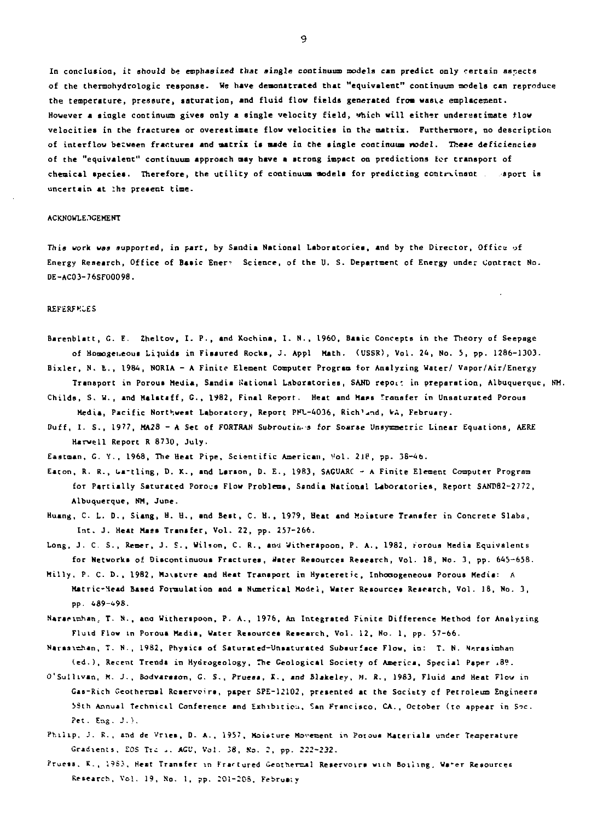In conclusion, it should be emphasized that single continuum models can predict only certain aspects of the thermohydrologic response. We have demonstrated that "equivalent" continuum models can reproduce the temperature, pressure, saturation, and fluid flow fields generated from waste emplacement. However a single continuum gives only a single velocity field, which will either underestimate flow velocities in the fractures or overestimate flow velocities in the matrix. Furthermore, no description of interflow between fractures and matrix is made in Che single continuum model. These deficiencies of the "equivalent" continuum approach may have a strong impact on predictions for transport of chemical species. Therefore, the utility of continuum models for predicting contrinant . sport is uncertain at the present time.

## ACKNOWLE. GEMENT

This work was supported, in pare, by Sandia National Laboratories, and by the Director, Office of Energy Research, Office of Basic Ener"- Science, of the U. S. Department of Energy under Contract No. DE-AC03-76SF00098.

# **REFERFMCES**

Barenblatt, C. E. Zheltov, I. P., and Kochina, I. N., I960, Basic Concepts in the Theory of Seepage of Homogeneous Liquids in Fissured Rocks, J. Appl Hath. (USSR), Vol. 24, No. 5, pp. 1286-1303.

Bixler, N. E., 1984, NORIA - A Finite Element Computer Program for Analysing Water/ Vapor/Air/Energy Transport in Porous Media, Sandia National Laboratories, SAND repot: in preparation, Albuquerque, HM.

Childs, S. W., and Malstsff, C., 1982, Final Report. Heat and Mass Transfer in Unsaturated Porous Media, Pacific Northwest Laboratory, Report PFL-4036, Rich'^nd, W-A, February.

Duff, I. S., 1977, MA28 - A Set of FORTRAN Subroutines for Soarse Unsymmetric Linear Equations, AERE Harwell Report R 8730, July.

Eastman, G. Y., 1968, The Heat Pipe, Scientific American, Vol. 218, pp. 38-46.

- Eaton, R. R., Ga-tling, D. K., and Larson, D. E., 1983, SAGUARC A Finite Element Computer Program for Partially Saturated Porous Flow Problems, Ssndia National Laboratories, Report SANDB2-2772, Albuquerque, NM, June.
- Huang, C. L. D., Siang, H. H., and Best, C. H. , 1979, Heat and Moisture Transfer in Concrete Slabs, Int. J. Heat Mass Transfer, Vol. 22, pp. 257-266.
- Long, J. C. S., Remer, J. S. , Wilson, C. R. , an'J Witherapoon, P. A., 1982, torous Media Equivalents for Networks of Discontinuous Frsctures, Hater Resources Research, Vol. 18, No. 3, pp. 645-658.
- Hilly, P. C. D., 1982, Hjvstvre and Heat Transport in Hyateretic, Inhoaogeneous Porous Hedis: A Hstric-Head Based Formulation and a Numerical Model, Water Resources Research, Vol. 18, No. 3, pp. 489-^98.
- Nararirahan; T. N., ana Witherspoon, P. A., 1976, An Integrated Finite Difference Method for Analyzing Fluid Flow in Porous Media, Water Resources Research, Vol. 12, No. 1, pp. 57-66.

Narasiehan, T. N., 1982, Physics of Saturated-Unsaturated Subsurface Flow, in: T. N. Norasimhan (ed.), Recent Trends in Hydtogeology, The Geological Society of America, Special Paper i39.

- O'Sullivan, H. J., Bodvarason, G. S., Prueas, K., and Slakeley, N. R., 1983, Fluid and Heat Flow in Gas-Rich Geotheroal Reservoirs, paper SPE-12102, presented st the Society cf Petroleum Engineers 58th Annual Technical Conference and Exhibition, San Francisco, CA., October (to appear in Soc. Pet. Eng. J.>.
- Philip, J. R., and de Vries, D. A., 1957, Moisture Movement in Porous Materials under Temperature Gradients, EOS Ti~ ... *AG'J*, Vol. 38, So. *2,* pp. 222-232.
- Pruess. K., 1983. Heat Transfer in Fractured Geothermal Reservoirs with Boiling, Water Resources Research, Vol. 19, No. 1, pp. 201-208, February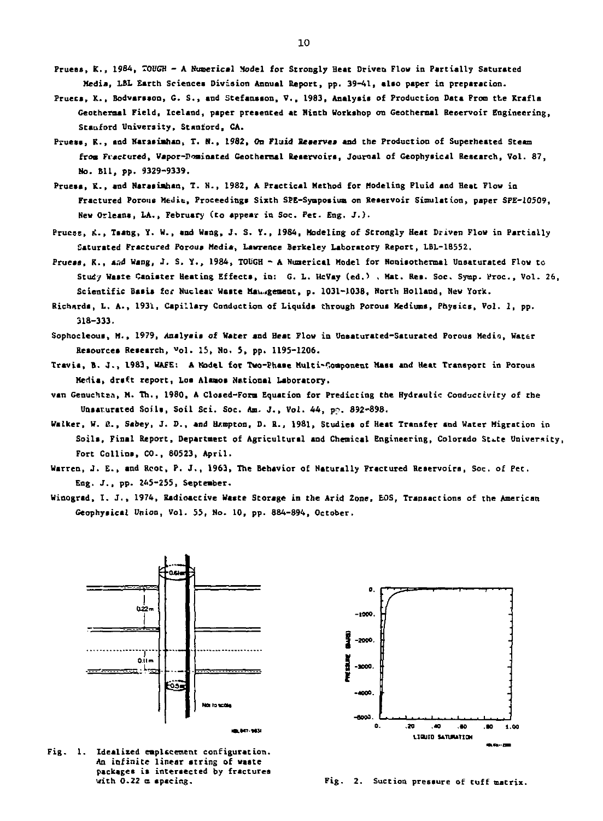- **Prueas, K., 1964, TOUGH A Numerical Model for Strongly Heat Driven Flow in Partially Saturated Media, LBL Earth Sciences Division Annual Report, pp. 39-41, also paper in preparation.**
- **Pruecs, X., Bodvarsson, G. S. , and Stefansson, V., 1983, Analysis of Production Data Prom tt e Krafla Geothereal Field, Iceland, paper presented at Ninth Workshop on Geothermal Reservoir Engineering, Stanford University, Stanford, CA.**
- **Fruess, K., and Narasiahan, T. N., 1982, On Fluid Reserve\* and the Production of Superheated Steam from Fractured, Vapor-Pominated Ceotheraal Reservoirs, Journal of Geophysical Research, Vol. 87, No. BI1, pp. 9329-9339.**
- **Pruess, K., and Naraaiahan, T. N., 1982, A Practical Method for Modeling Fluid and Heat Flow in Fractured Porous Meait, Proceedings Sixth SPE-Symposium on Reservoir Simulation, paper SPE-10509, New Orleans, LA., February (to appear in Soc. Pet. Eng, J.) .**
- **Prucss, it., Tsang, Y. W., and Wang, J, S. Y., 1984, Modeling of Strongly Heat Driven Flow in Partially Saturated Fractured Porous Media, Lawrence Berkeley Laboratory Report, LBL-18552.**
- **Prueas, K., aad Wang, J. S. Y. , 1984, TOUGH A Numerical Model for Nonisothermal Unsaturated Flow to Study Waste Canister Heating Effects, in: G. L. UcVay (ed.) , Hat. Res. Soc. Sytnp. Proc , Vol. 26, Scientifi c Basis** *tec* **Nuclear Wsate Mav^gement, p. 1031-1038, North Holland, New York.**
- **Richards, L. A., 1931, Capillary Conduction of Liquids through Porous Mediums, Physics, Vol. 1, pp. 318-333-**
- **Sophocleous, M., 1979, Analysis of Water and Beat Flow in Unsaturated-Saturated Porous Media, Water Resources Research, «ol. 15, No. 5, pp. 1195-1206.**
- **Travis, B. J. , 1983, WAFE: A Model for Two-Phase Multi-Component Mass and Heat Transport in Porous Media, draft report, Los Alamos National Laboratory,**
- van Genuchten, M. Th., 1980, A Closed-Form Equation for Predicting the Hydraulic Conductivity of the Unsaturated Soils, Soil Sci. Soc. Am. J., Vol. 44, pp. 892-898.
- Walker, W. R., Sabey, J. D., and Hampton, D. R., 1981, Studies of Heat Transfer and Water Migration in Soils, Final Report, Department of Agricultural and Chemical Engineering, Colorado State University, **Fort Collins, CO., 80523, April.**
- **Warren, J. E., and Root, P. J. , 1963, The Behavior of Naturally Fractured Reservoirs, Sac. of Pet. Eng. J. , pp. 245-255, September.**
- **Winograd, I. J. , 1974, Radioactive Waste Storage in the Arid Zone, EOS, Transactions of the American Geophysical Union, Vol. 55, No. 10, pp. 884-894, October.**



**Fig. 1. Idealised emplscement configuration. An infinite linear string of waste packages is intersected by fractures with 0-22** *a* **spacing.** 



**Fig. 2. Suction pressure of tuff matrix.**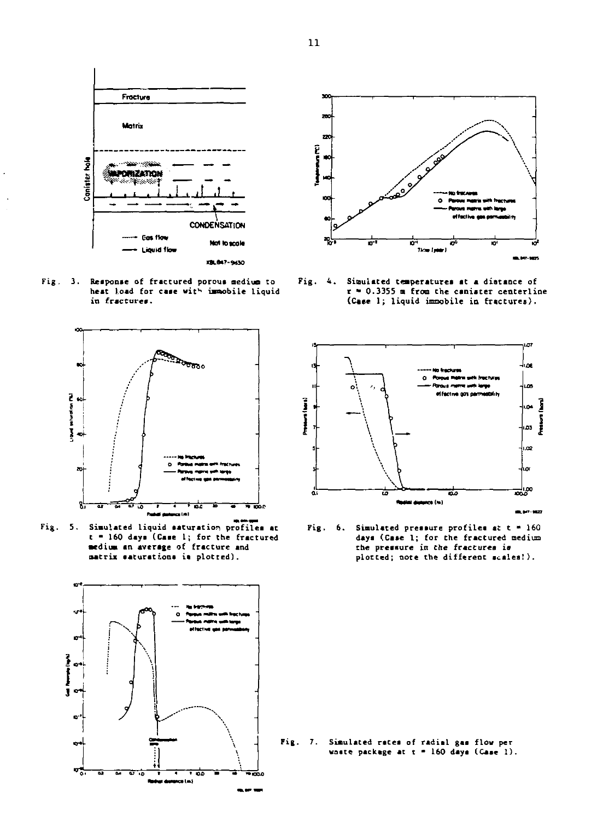

**Fig, 3. Reaponse of fractured porous medium to heat load for caae wit <sup>K</sup> immobile liquid in fractures.** 



**Fig. 5. Simulated liquid saturation profilea at t - 160 days (Case 1; for the fractured medium an average of fracture and matrix saturations is plotted) .** 





**Fig. 4 . Simulated temperatures at a distance of r « 0.3355 a from the canister centerline (Case 1; liquid immobile in fractures).** 



**Fig. 6. Simulated pressure profiles at t \* 160 daya (Case 1; for the fractured medium the pressure in the fractures is plotted; note the different scales!).** 

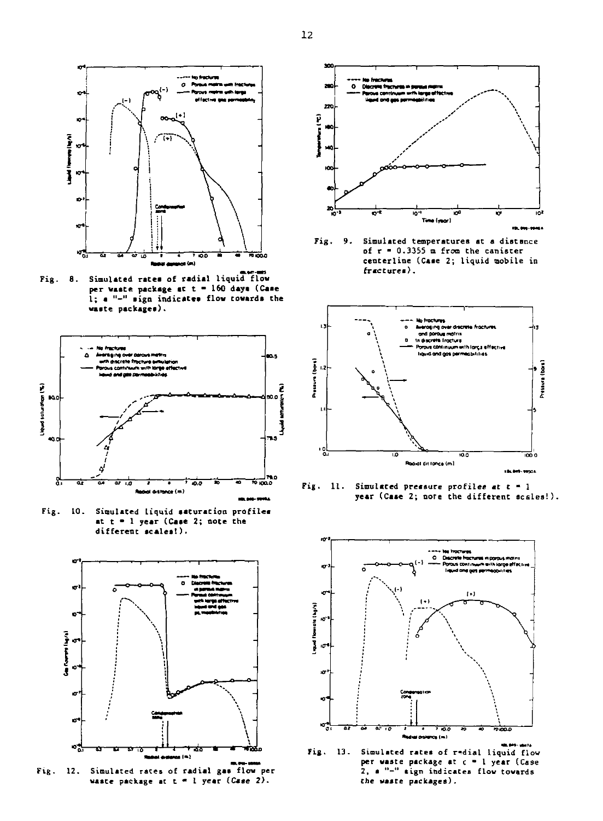Fig. 8. Simulated rates of radial liquid flow **per waste package at t - 160 daya <Caae**  1; a "-" sign indicates flow towards the waste packages).

o Res

 $oa^{(-)}$ 

73

'n

**Personal Discussion** 



**Fig- 10. Simulated Liquid saturation profiles at t - I year (Case 2; note the different scales!).** 



**Fig. 12. Simulated races of radial gas flow per**  waste package at t = 1 year *(Case 2)*.



**Fig. 9. Simulated temperatures at a distance of r • 0.3355 m from the canister centerline (Case 2; liquid mobile in fractures).** 



**Fig. Simulated pressure profiles it t • 1 year (Caae 2; note the different scales!).** 



**Fig. 13. Simulated rates of r-dial liquid flow per waste package at c • 1 year (Case 2, a "-" sign indicates flow towards the waste packages).**